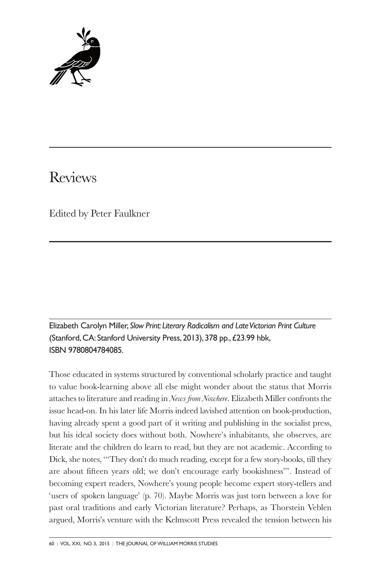

# Reviews

Edited by Peter Faulkner

Elizabeth Carolyn Miller, *Slow Print: Literary Radicalism and Late Victorian Print Culture* (Stanford, CA: Stanford University Press, 2013), 378 pp., £23.99 hbk, ISBN 9780804784085.

Those educated in systems structured by conventional scholarly practice and taught to value book-learning above all else might wonder about the status that Morris attaches to literature and reading in *News from Nowhere*. Elizabeth Miller confronts the issue head-on. In his later life Morris indeed lavished attention on book-production, having already spent a good part of it writing and publishing in the socialist press, but his ideal society does without both. Nowhere's inhabitants, she observes, are literate and the children do learn to read, but they are not academic. According to Dick, she notes, '"They don't do much reading, except for a few story-books, till they are about fifteen years old; we don't encourage early bookishness"'. Instead of becoming expert readers, Nowhere's young people become expert story-tellers and 'users of spoken language' (p. 70). Maybe Morris was just torn between a love for past oral traditions and early Victorian literature? Perhaps, as Thorstein Veblen argued, Morris's venture with the Kelmscott Press revealed the tension between his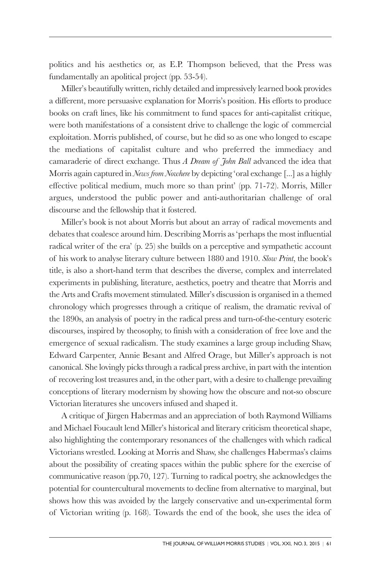politics and his aesthetics or, as E.P. Thompson believed, that the Press was fundamentally an apolitical project (pp. 53-54).

Miller's beautifully written, richly detailed and impressively learned book provides a different, more persuasive explanation for Morris's position. His efforts to produce books on craft lines, like his commitment to fund spaces for anti-capitalist critique, were both manifestations of a consistent drive to challenge the logic of commercial exploitation. Morris published, of course, but he did so as one who longed to escape the mediations of capitalist culture and who preferred the immediacy and camaraderie of direct exchange. Thus *A Dream of John Ball* advanced the idea that Morris again captured in *News from Nowhere* by depicting 'oral exchange [...] as a highly effective political medium, much more so than print' (pp. 71-72). Morris, Miller argues, understood the public power and anti-authoritarian challenge of oral discourse and the fellowship that it fostered.

Miller's book is not about Morris but about an array of radical movements and debates that coalesce around him. Describing Morris as 'perhaps the most influential radical writer of the era' (p. 25) she builds on a perceptive and sympathetic account of his work to analyse literary culture between 1880 and 1910. *Slow Print*, the book's title, is also a short-hand term that describes the diverse, complex and interrelated experiments in publishing, literature, aesthetics, poetry and theatre that Morris and the Arts and Crafts movement stimulated. Miller's discussion is organised in a themed chronology which progresses through a critique of realism, the dramatic revival of the 1890s, an analysis of poetry in the radical press and turn-of-the-century esoteric discourses, inspired by theosophy, to finish with a consideration of free love and the emergence of sexual radicalism. The study examines a large group including Shaw, Edward Carpenter, Annie Besant and Alfred Orage, but Miller's approach is not canonical. She lovingly picks through a radical press archive, in part with the intention of recovering lost treasures and, in the other part, with a desire to challenge prevailing conceptions of literary modernism by showing how the obscure and not-so obscure Victorian literatures she uncovers infused and shaped it.

A critique of Jürgen Habermas and an appreciation of both Raymond Williams and Michael Foucault lend Miller's historical and literary criticism theoretical shape, also highlighting the contemporary resonances of the challenges with which radical Victorians wrestled. Looking at Morris and Shaw, she challenges Habermas's claims about the possibility of creating spaces within the public sphere for the exercise of communicative reason (pp.70, 127). Turning to radical poetry, she acknowledges the potential for countercultural movements to decline from alternative to marginal, but shows how this was avoided by the largely conservative and un-experimental form of Victorian writing (p. 168). Towards the end of the book, she uses the idea of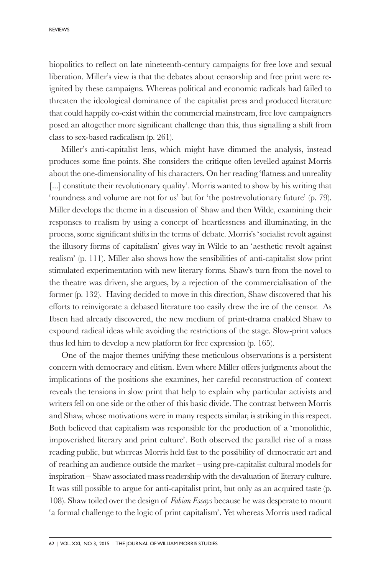biopolitics to reflect on late nineteenth-century campaigns for free love and sexual liberation. Miller's view is that the debates about censorship and free print were reignited by these campaigns. Whereas political and economic radicals had failed to threaten the ideological dominance of the capitalist press and produced literature that could happily co-exist within the commercial mainstream, free love campaigners posed an altogether more significant challenge than this, thus signalling a shift from class to sex-based radicalism (p. 261).

Miller's anti-capitalist lens, which might have dimmed the analysis, instead produces some fine points. She considers the critique often levelled against Morris about the one-dimensionality of his characters. On her reading 'flatness and unreality [...] constitute their revolutionary quality'. Morris wanted to show by his writing that 'roundness and volume are not for us' but for 'the postrevolutionary future' (p. 79). Miller develops the theme in a discussion of Shaw and then Wilde, examining their responses to realism by using a concept of heartlessness and illuminating, in the process, some significant shifts in the terms of debate. Morris's 'socialist revolt against the illusory forms of capitalism' gives way in Wilde to an 'aesthetic revolt against realism' (p. 111). Miller also shows how the sensibilities of anti-capitalist slow print stimulated experimentation with new literary forms. Shaw's turn from the novel to the theatre was driven, she argues, by a rejection of the commercialisation of the former (p. 132). Having decided to move in this direction, Shaw discovered that his efforts to reinvigorate a debased literature too easily drew the ire of the censor. As Ibsen had already discovered, the new medium of print-drama enabled Shaw to expound radical ideas while avoiding the restrictions of the stage. Slow-print values thus led him to develop a new platform for free expression (p. 165).

One of the major themes unifying these meticulous observations is a persistent concern with democracy and elitism. Even where Miller offers judgments about the implications of the positions she examines, her careful reconstruction of context reveals the tensions in slow print that help to explain why particular activists and writers fell on one side or the other of this basic divide. The contrast between Morris and Shaw, whose motivations were in many respects similar, is striking in this respect. Both believed that capitalism was responsible for the production of a 'monolithic, impoverished literary and print culture'. Both observed the parallel rise of a mass reading public, but whereas Morris held fast to the possibility of democratic art and of reaching an audience outside the market – using pre-capitalist cultural models for inspiration – Shaw associated mass readership with the devaluation of literary culture. It was still possible to argue for anti-capitalist print, but only as an acquired taste (p. 108). Shaw toiled over the design of *Fabian Essays* because he was desperate to mount 'a formal challenge to the logic of print capitalism'. Yet whereas Morris used radical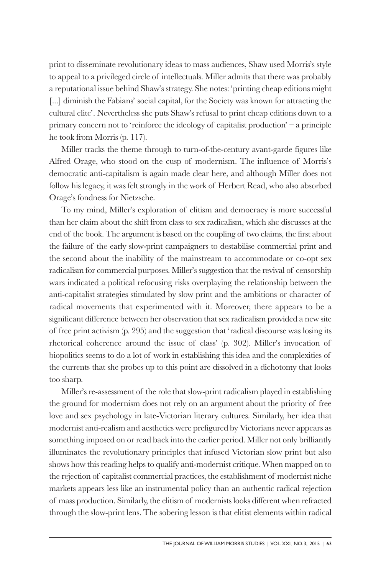print to disseminate revolutionary ideas to mass audiences, Shaw used Morris's style to appeal to a privileged circle of intellectuals. Miller admits that there was probably a reputational issue behind Shaw's strategy. She notes: 'printing cheap editions might [...] diminish the Fabians' social capital, for the Society was known for attracting the cultural elite'. Nevertheless she puts Shaw's refusal to print cheap editions down to a primary concern not to 'reinforce the ideology of capitalist production' – a principle he took from Morris (p. 117).

Miller tracks the theme through to turn-of-the-century avant-garde figures like Alfred Orage, who stood on the cusp of modernism. The influence of Morris's democratic anti-capitalism is again made clear here, and although Miller does not follow his legacy, it was felt strongly in the work of Herbert Read, who also absorbed Orage's fondness for Nietzsche.

To my mind, Miller's exploration of elitism and democracy is more successful than her claim about the shift from class to sex radicalism, which she discusses at the end of the book. The argument is based on the coupling of two claims, the first about the failure of the early slow-print campaigners to destabilise commercial print and the second about the inability of the mainstream to accommodate or co-opt sex radicalism for commercial purposes. Miller's suggestion that the revival of censorship wars indicated a political refocusing risks overplaying the relationship between the anti-capitalist strategies stimulated by slow print and the ambitions or character of radical movements that experimented with it. Moreover, there appears to be a significant difference between her observation that sex radicalism provided a new site of free print activism (p. 295) and the suggestion that 'radical discourse was losing its rhetorical coherence around the issue of class' (p. 302). Miller's invocation of biopolitics seems to do a lot of work in establishing this idea and the complexities of the currents that she probes up to this point are dissolved in a dichotomy that looks too sharp.

Miller's re-assessment of the role that slow-print radicalism played in establishing the ground for modernism does not rely on an argument about the priority of free love and sex psychology in late-Victorian literary cultures. Similarly, her idea that modernist anti-realism and aesthetics were prefigured by Victorians never appears as something imposed on or read back into the earlier period. Miller not only brilliantly illuminates the revolutionary principles that infused Victorian slow print but also shows how this reading helps to qualify anti-modernist critique. When mapped on to the rejection of capitalist commercial practices, the establishment of modernist niche markets appears less like an instrumental policy than an authentic radical rejection of mass production. Similarly, the elitism of modernists looks different when refracted through the slow-print lens. The sobering lesson is that elitist elements within radical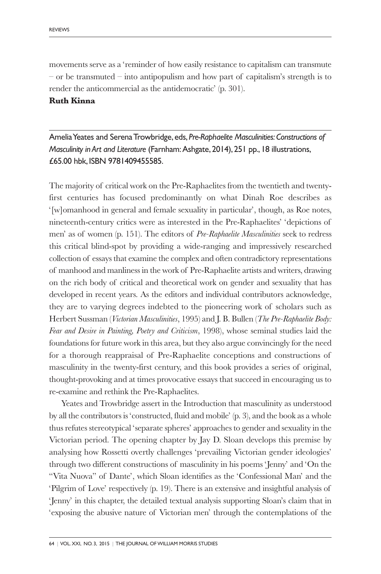movements serve as a 'reminder of how easily resistance to capitalism can transmute – or be transmuted – into antipopulism and how part of capitalism's strength is to render the anticommercial as the antidemocratic' (p. 301).

#### **Ruth Kinna**

Amelia Yeates and Serena Trowbridge, eds, *Pre-Raphaelite Masculinities: Constructions of Masculinity in Art and Literature* (Farnham:Ashgate, 2014), 251 pp., 18 illustrations, £65.00 hbk, ISBN 9781409455585.

The majority of critical work on the Pre-Raphaelites from the twentieth and twentyfirst centuries has focused predominantly on what Dinah Roe describes as '[w]omanhood in general and female sexuality in particular', though, as Roe notes, nineteenth-century critics were as interested in the Pre-Raphaelites' 'depictions of men' as of women (p. 151). The editors of *Pre-Raphaelite Masculinities* seek to redress this critical blind-spot by providing a wide-ranging and impressively researched collection of essays that examine the complex and often contradictory representations of manhood and manliness in the work of Pre-Raphaelite artists and writers, drawing on the rich body of critical and theoretical work on gender and sexuality that has developed in recent years. As the editors and individual contributors acknowledge, they are to varying degrees indebted to the pioneering work of scholars such as Herbert Sussman (*Victorian Masculinities*, 1995) and J. B. Bullen (*The Pre-Raphaelite Body: Fear and Desire in Painting, Poetry and Criticism*, 1998), whose seminal studies laid the foundations for future work in this area, but they also argue convincingly for the need for a thorough reappraisal of Pre-Raphaelite conceptions and constructions of masculinity in the twenty-first century, and this book provides a series of original, thought-provoking and at times provocative essays that succeed in encouraging us to re-examine and rethink the Pre-Raphaelites.

Yeates and Trowbridge assert in the Introduction that masculinity as understood by all the contributors is 'constructed, fluid and mobile' (p. 3), and the book as a whole thus refutes stereotypical 'separate spheres' approaches to gender and sexuality in the Victorian period. The opening chapter by Jay D. Sloan develops this premise by analysing how Rossetti overtly challenges 'prevailing Victorian gender ideologies' through two different constructions of masculinity in his poems 'Jenny' and 'On the "Vita Nuova" of Dante', which Sloan identifies as the 'Confessional Man' and the 'Pilgrim of Love' respectively (p. 19). There is an extensive and insightful analysis of 'Jenny' in this chapter, the detailed textual analysis supporting Sloan's claim that in 'exposing the abusive nature of Victorian men' through the contemplations of the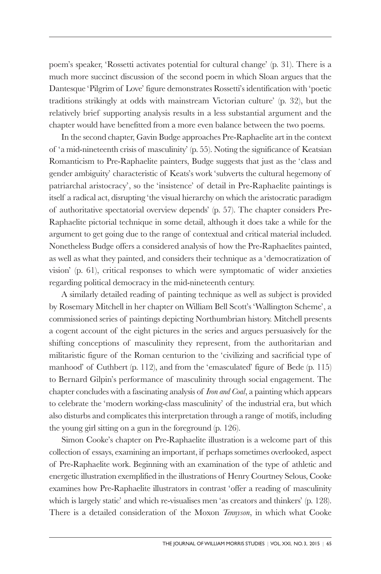poem's speaker, 'Rossetti activates potential for cultural change' (p. 31). There is a much more succinct discussion of the second poem in which Sloan argues that the Dantesque 'Pilgrim of Love' figure demonstrates Rossetti's identification with 'poetic traditions strikingly at odds with mainstream Victorian culture' (p. 32), but the relatively brief supporting analysis results in a less substantial argument and the chapter would have benefitted from a more even balance between the two poems.

In the second chapter, Gavin Budge approaches Pre-Raphaelite art in the context of 'a mid-nineteenth crisis of masculinity' (p. 55). Noting the significance of Keatsian Romanticism to Pre-Raphaelite painters, Budge suggests that just as the 'class and gender ambiguity' characteristic of Keats's work 'subverts the cultural hegemony of patriarchal aristocracy', so the 'insistence' of detail in Pre-Raphaelite paintings is itself a radical act, disrupting 'the visual hierarchy on which the aristocratic paradigm of authoritative spectatorial overview depends' (p. 57). The chapter considers Pre-Raphaelite pictorial technique in some detail, although it does take a while for the argument to get going due to the range of contextual and critical material included. Nonetheless Budge offers a considered analysis of how the Pre-Raphaelites painted, as well as what they painted, and considers their technique as a 'democratization of vision' (p. 61), critical responses to which were symptomatic of wider anxieties regarding political democracy in the mid-nineteenth century.

A similarly detailed reading of painting technique as well as subject is provided by Rosemary Mitchell in her chapter on William Bell Scott's 'Wallington Scheme', a commissioned series of paintings depicting Northumbrian history. Mitchell presents a cogent account of the eight pictures in the series and argues persuasively for the shifting conceptions of masculinity they represent, from the authoritarian and militaristic figure of the Roman centurion to the 'civilizing and sacrificial type of manhood' of Cuthbert (p. 112), and from the 'emasculated' figure of Bede (p. 115) to Bernard Gilpin's performance of masculinity through social engagement. The chapter concludes with a fascinating analysis of *Iron and Coal*, a painting which appears to celebrate the 'modern working-class masculinity' of the industrial era, but which also disturbs and complicates this interpretation through a range of motifs, including the young girl sitting on a gun in the foreground (p. 126).

Simon Cooke's chapter on Pre-Raphaelite illustration is a welcome part of this collection of essays, examining an important, if perhaps sometimes overlooked, aspect of Pre-Raphaelite work. Beginning with an examination of the type of athletic and energetic illustration exemplified in the illustrations of Henry Courtney Selous, Cooke examines how Pre-Raphaelite illustrators in contrast 'offer a reading of masculinity which is largely static' and which re-visualises men 'as creators and thinkers' (p. 128). There is a detailed consideration of the Moxon *Tennyson*, in which what Cooke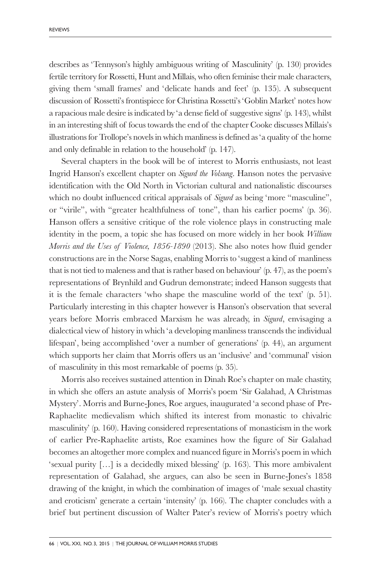describes as 'Tennyson's highly ambiguous writing of Masculinity' (p. 130) provides fertile territory for Rossetti, Hunt and Millais, who often feminise their male characters, giving them 'small frames' and 'delicate hands and feet' (p. 135). A subsequent discussion of Rossetti's frontispiece for Christina Rossetti's 'Goblin Market' notes how a rapacious male desire is indicated by 'a dense field of suggestive signs' (p. 143), whilst in an interesting shift of focus towards the end of the chapter Cooke discusses Millais's illustrations for Trollope's novels in which manliness is defined as 'a quality of the home and only definable in relation to the household' (p. 147).

Several chapters in the book will be of interest to Morris enthusiasts, not least Ingrid Hanson's excellent chapter on *Sigurd the Volsung*. Hanson notes the pervasive identification with the Old North in Victorian cultural and nationalistic discourses which no doubt influenced critical appraisals of *Sigurd* as being 'more "masculine", or "virile", with "greater healthfulness of tone", than his earlier poems' (p. 36). Hanson offers a sensitive critique of the role violence plays in constructing male identity in the poem, a topic she has focused on more widely in her book *William Morris and the Uses of Violence, 1856-1890* (2013). She also notes how fluid gender constructions are in the Norse Sagas, enabling Morris to 'suggest a kind of manliness that is not tied to maleness and that is rather based on behaviour' (p. 47), as the poem's representations of Brynhild and Gudrun demonstrate; indeed Hanson suggests that it is the female characters 'who shape the masculine world of the text' (p. 51). Particularly interesting in this chapter however is Hanson's observation that several years before Morris embraced Marxism he was already, in *Sigurd*, envisaging a dialectical view of history in which 'a developing manliness transcends the individual lifespan', being accomplished 'over a number of generations' (p. 44), an argument which supports her claim that Morris offers us an 'inclusive' and 'communal' vision of masculinity in this most remarkable of poems (p. 35).

Morris also receives sustained attention in Dinah Roe's chapter on male chastity, in which she offers an astute analysis of Morris's poem 'Sir Galahad, A Christmas Mystery'. Morris and Burne-Jones, Roe argues, inaugurated 'a second phase of Pre-Raphaelite medievalism which shifted its interest from monastic to chivalric masculinity' (p. 160). Having considered representations of monasticism in the work of earlier Pre-Raphaelite artists, Roe examines how the figure of Sir Galahad becomes an altogether more complex and nuanced figure in Morris's poem in which 'sexual purity […] is a decidedly mixed blessing' (p. 163). This more ambivalent representation of Galahad, she argues, can also be seen in Burne-Jones's 1858 drawing of the knight, in which the combination of images of 'male sexual chastity and eroticism' generate a certain 'intensity' (p. 166). The chapter concludes with a brief but pertinent discussion of Walter Pater's review of Morris's poetry which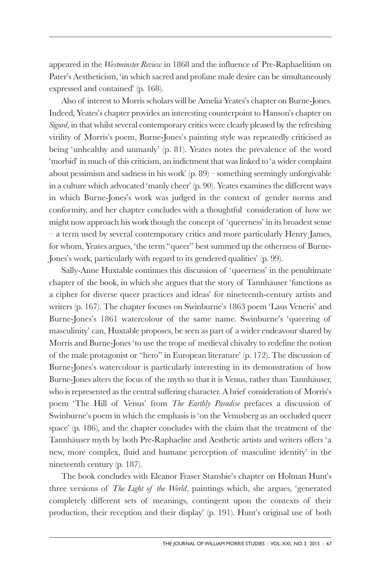appeared in the *Westminster Review* in 1868 and the influence of Pre-Raphaelitism on Pater's Aestheticism, 'in which sacred and profane male desire can be simultaneously expressed and contained' (p. 168).

Also of interest to Morris scholars will be Amelia Yeates's chapter on Burne-Jones. Indeed, Yeates's chapter provides an interesting counterpoint to Hanson's chapter on *Sigurd*, in that whilst several contemporary critics were clearly pleased by the refreshing virility of Morris's poem, Burne-Jones's painting style was repeatedly criticised as being 'unhealthy and unmanly' (p. 81). Yeates notes the prevalence of the word 'morbid' in much of this criticism, an indictment that was linked to 'a wider complaint about pessimism and sadness in his work' (p. 89) – something seemingly unforgivable in a culture which advocated 'manly cheer' (p. 90). Yeates examines the different ways in which Burne-Jones's work was judged in the context of gender norms and conformity, and her chapter concludes with a thoughtful consideration of how we might now approach his work though the concept of 'queerness' in its broadest sense – a term used by several contemporary critics and more particularly Henry James, for whom, Yeates argues, 'the term "queer" best summed up the otherness of Burne-Jones's work, particularly with regard to its gendered qualities' (p. 99).

Sally-Anne Huxtable continues this discussion of 'queerness' in the penultimate chapter of the book, in which she argues that the story of Tannhäuser 'functions as a cipher for diverse queer practices and ideas' for nineteenth-century artists and writers (p. 167). The chapter focuses on Swinburne's 1863 poem 'Laus Veneris' and Burne-Jones's 1861 watercolour of the same name. Swinburne's 'queering of masculinity' can, Huxtable proposes, be seen as part of a wider endeavour shared by Morris and Burne-Jones 'to use the trope of medieval chivalry to redefine the notion of the male protagonist or "hero" in European literature' (p. 172). The discussion of Burne-Jones's watercolour is particularly interesting in its demonstration of how Burne-Jones alters the focus of the myth so that it is Venus, rather than Tannhäuser, who is represented as the central suffering character. A brief consideration of Morris's poem 'The Hill of Venus' from *The Earthly Paradise* prefaces a discussion of Swinburne's poem in which the emphasis is 'on the Venusberg as an occluded queer space' (p. 186), and the chapter concludes with the claim that the treatment of the Tannhäuser myth by both Pre-Raphaelite and Aesthetic artists and writers offers 'a new, more complex, fluid and humane perception of masculine identity' in the nineteenth century (p. 187).

The book concludes with Eleanor Fraser Stansbie's chapter on Holman Hunt's three versions of *The Light of the World*, paintings which, she argues, 'generated completely different sets of meanings, contingent upon the contexts of their production, their reception and their display' (p. 191). Hunt's original use of both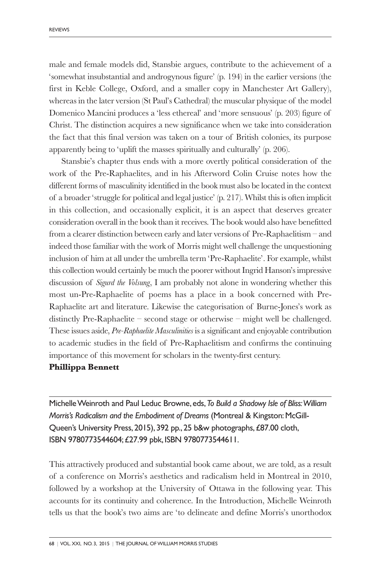male and female models did, Stansbie argues, contribute to the achievement of a 'somewhat insubstantial and androgynous figure' (p. 194) in the earlier versions (the first in Keble College, Oxford, and a smaller copy in Manchester Art Gallery), whereas in the later version (St Paul's Cathedral) the muscular physique of the model Domenico Mancini produces a 'less ethereal' and 'more sensuous' (p. 203) figure of Christ. The distinction acquires a new significance when we take into consideration the fact that this final version was taken on a tour of British colonies, its purpose apparently being to 'uplift the masses spiritually and culturally' (p. 206).

Stansbie's chapter thus ends with a more overtly political consideration of the work of the Pre-Raphaelites, and in his Afterword Colin Cruise notes how the different forms of masculinity identified in the book must also be located in the context of a broader 'struggle for political and legal justice' (p. 217). Whilst this is often implicit in this collection, and occasionally explicit, it is an aspect that deserves greater consideration overall in the book than it receives. The book would also have benefitted from a clearer distinction between early and later versions of Pre-Raphaelitism – and indeed those familiar with the work of Morris might well challenge the unquestioning inclusion of him at all under the umbrella term 'Pre-Raphaelite'. For example, whilst this collection would certainly be much the poorer without Ingrid Hanson's impressive discussion of *Sigurd the Volsung*, I am probably not alone in wondering whether this most un-Pre-Raphaelite of poems has a place in a book concerned with Pre-Raphaelite art and literature. Likewise the categorisation of Burne-Jones's work as distinctly Pre-Raphaelite – second stage or otherwise – might well be challenged. These issues aside, *Pre-Raphaelite Masculinities* is a significant and enjoyable contribution to academic studies in the field of Pre-Raphaelitism and confirms the continuing importance of this movement for scholars in the twenty-first century.

# **Phillippa Bennett**

Michelle Weinroth and Paul Leduc Browne, eds, *To Build a Shadowy Isle of Bliss:William Morris's Radicalism and the Embodiment of Dreams* (Montreal & Kingston: McGill-Queen's University Press, 2015), 392 pp., 25 b&w photographs, £87.00 cloth, ISBN 9780773544604; £27.99 pbk, ISBN 9780773544611.

This attractively produced and substantial book came about, we are told, as a result of a conference on Morris's aesthetics and radicalism held in Montreal in 2010, followed by a workshop at the University of Ottawa in the following year. This accounts for its continuity and coherence. In the Introduction, Michelle Weinroth tells us that the book's two aims are 'to delineate and define Morris's unorthodox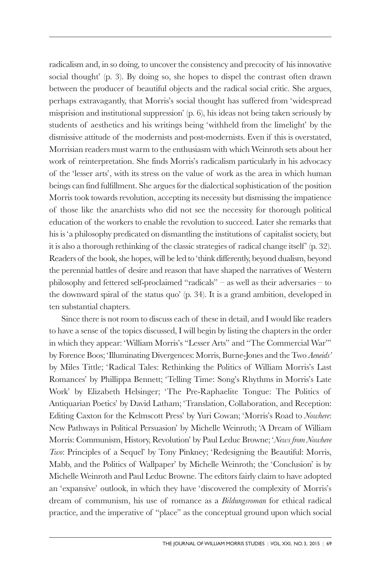radicalism and, in so doing, to uncover the consistency and precocity of his innovative social thought' (p. 3). By doing so, she hopes to dispel the contrast often drawn between the producer of beautiful objects and the radical social critic. She argues, perhaps extravagantly, that Morris's social thought has suffered from 'widespread misprision and institutional suppression' (p. 6), his ideas not being taken seriously by students of aesthetics and his writings being 'withheld from the limelight' by the dismissive attitude of the modernists and post-modernists. Even if this is overstated, Morrisian readers must warm to the enthusiasm with which Weinroth sets about her work of reinterpretation. She finds Morris's radicalism particularly in his advocacy of the 'lesser arts', with its stress on the value of work as the area in which human beings can find fulfillment. She argues for the dialectical sophistication of the position Morris took towards revolution, accepting its necessity but dismissing the impatience of those like the anarchists who did not see the necessity for thorough political education of the workers to enable the revolution to succeed. Later she remarks that his is 'a philosophy predicated on dismantling the institutions of capitalist society, but it is also a thorough rethinking of the classic strategies of radical change itself ' (p. 32). Readers of the book, she hopes, will be led to 'think differently, beyond dualism, beyond the perennial battles of desire and reason that have shaped the narratives of Western philosophy and fettered self-proclaimed "radicals" – as well as their adversaries – to the downward spiral of the status quo' (p. 34). It is a grand ambition, developed in ten substantial chapters.

Since there is not room to discuss each of these in detail, and I would like readers to have a sense of the topics discussed, I will begin by listing the chapters in the order in which they appear: 'William Morris's "Lesser Arts" and "The Commercial War"' by Forence Boos; 'Illuminating Divergences: Morris, Burne-Jones and the Two *Aeneids'* by Miles Tittle; 'Radical Tales: Rethinking the Politics of William Morris's Last Romances' by Phillippa Bennett; 'Telling Time: Song's Rhythms in Morris's Late Work' by Elizabeth Helsinger; 'The Pre-Raphaelite Tongue: The Politics of Antiquarian Poetics' by David Latham; 'Translation, Collaboration, and Reception: Editing Caxton for the Kelmscott Press' by Yuri Cowan; 'Morris's Road to *Nowhere*: New Pathways in Political Persuasion' by Michelle Weinroth; 'A Dream of William Morris: Communism, History, Revolution' by Paul Leduc Browne; '*News from Nowhere Two*: Principles of a Sequel' by Tony Pinkney; 'Redesigning the Beautiful: Morris, Mabb, and the Politics of Wallpaper' by Michelle Weinroth; the 'Conclusion' is by Michelle Weinroth and Paul Leduc Browne. The editors fairly claim to have adopted an 'expansive' outlook, in which they have 'discovered the complexity of Morris's dream of communism, his use of romance as a *Bildungsroman* for ethical radical practice, and the imperative of "place" as the conceptual ground upon which social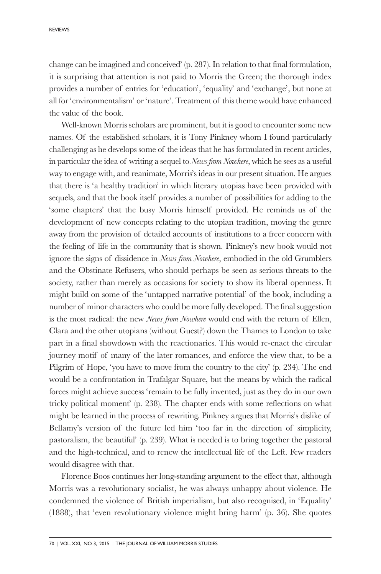change can be imagined and conceived' (p. 287). In relation to that final formulation, it is surprising that attention is not paid to Morris the Green; the thorough index provides a number of entries for 'education', 'equality' and 'exchange', but none at all for 'environmentalism' or 'nature'. Treatment of this theme would have enhanced the value of the book.

Well-known Morris scholars are prominent, but it is good to encounter some new names. Of the established scholars, it is Tony Pinkney whom I found particularly challenging as he develops some of the ideas that he has formulated in recent articles, in particular the idea of writing a sequel to *News from Nowhere*, which he sees as a useful way to engage with, and reanimate, Morris's ideas in our present situation. He argues that there is 'a healthy tradition' in which literary utopias have been provided with sequels, and that the book itself provides a number of possibilities for adding to the 'some chapters' that the busy Morris himself provided. He reminds us of the development of new concepts relating to the utopian tradition, moving the genre away from the provision of detailed accounts of institutions to a freer concern with the feeling of life in the community that is shown. Pinkney's new book would not ignore the signs of dissidence in *News from Nowhere*, embodied in the old Grumblers and the Obstinate Refusers, who should perhaps be seen as serious threats to the society, rather than merely as occasions for society to show its liberal openness. It might build on some of the 'untapped narrative potential' of the book, including a number of minor characters who could be more fully developed. The final suggestion is the most radical: the new *News from Nowhere* would end with the return of Ellen, Clara and the other utopians (without Guest?) down the Thames to London to take part in a final showdown with the reactionaries. This would re-enact the circular journey motif of many of the later romances, and enforce the view that, to be a Pilgrim of Hope, 'you have to move from the country to the city' (p. 234). The end would be a confrontation in Trafalgar Square, but the means by which the radical forces might achieve success 'remain to be fully invented, just as they do in our own tricky political moment' (p. 238). The chapter ends with some reflections on what might be learned in the process of rewriting. Pinkney argues that Morris's dislike of Bellamy's version of the future led him 'too far in the direction of simplicity, pastoralism, the beautiful' (p. 239). What is needed is to bring together the pastoral and the high-technical, and to renew the intellectual life of the Left. Few readers would disagree with that.

Florence Boos continues her long-standing argument to the effect that, although Morris was a revolutionary socialist, he was always unhappy about violence. He condemned the violence of British imperialism, but also recognised, in 'Equality' (1888), that 'even revolutionary violence might bring harm' (p. 36). She quotes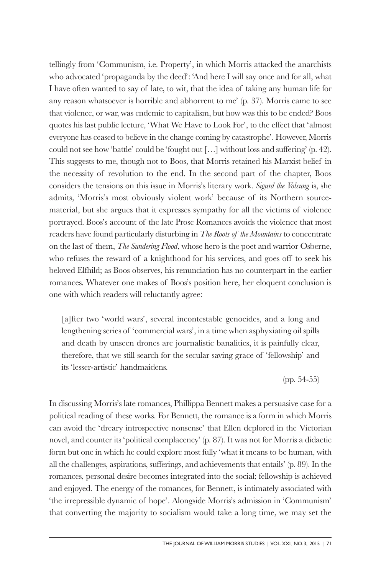tellingly from 'Communism, i.e. Property', in which Morris attacked the anarchists who advocated 'propaganda by the deed': 'And here I will say once and for all, what I have often wanted to say of late, to wit, that the idea of taking any human life for any reason whatsoever is horrible and abhorrent to me' (p. 37). Morris came to see that violence, or war, was endemic to capitalism, but how was this to be ended? Boos quotes his last public lecture, 'What We Have to Look For', to the effect that 'almost everyone has ceased to believe in the change coming by catastrophe'. However, Morris could not see how 'battle' could be 'fought out […] without loss and suffering' (p. 42). This suggests to me, though not to Boos, that Morris retained his Marxist belief in the necessity of revolution to the end. In the second part of the chapter, Boos considers the tensions on this issue in Morris's literary work. *Sigurd the Volsung* is, she admits, 'Morris's most obviously violent work' because of its Northern sourcematerial, but she argues that it expresses sympathy for all the victims of violence portrayed. Boos's account of the late Prose Romances avoids the violence that most readers have found particularly disturbing in *The Roots of the Mountains* to concentrate on the last of them, *The Sundering Flood*, whose hero is the poet and warrior Osberne, who refuses the reward of a knighthood for his services, and goes off to seek his beloved Elfhild; as Boos observes, his renunciation has no counterpart in the earlier romances. Whatever one makes of Boos's position here, her eloquent conclusion is one with which readers will reluctantly agree:

[a]fter two 'world wars', several incontestable genocides, and a long and lengthening series of 'commercial wars', in a time when asphyxiating oil spills and death by unseen drones are journalistic banalities, it is painfully clear, therefore, that we still search for the secular saving grace of 'fellowship' and its 'lesser-artistic' handmaidens.

(pp. 54-55)

In discussing Morris's late romances, Phillippa Bennett makes a persuasive case for a political reading of these works. For Bennett, the romance is a form in which Morris can avoid the 'dreary introspective nonsense' that Ellen deplored in the Victorian novel, and counter its 'political complacency' (p. 87). It was not for Morris a didactic form but one in which he could explore most fully 'what it means to be human, with all the challenges, aspirations, sufferings, and achievements that entails' (p. 89). In the romances, personal desire becomes integrated into the social; fellowship is achieved and enjoyed. The energy of the romances, for Bennett, is intimately associated with 'the irrepressible dynamic of hope'. Alongside Morris's admission in 'Communism' that converting the majority to socialism would take a long time, we may set the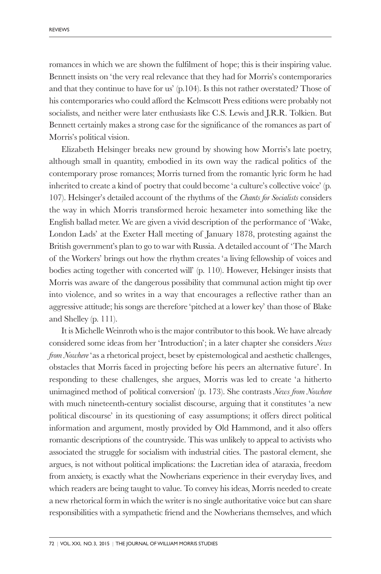romances in which we are shown the fulfilment of hope; this is their inspiring value. Bennett insists on 'the very real relevance that they had for Morris's contemporaries and that they continue to have for us' (p.104). Is this not rather overstated? Those of his contemporaries who could afford the Kelmscott Press editions were probably not socialists, and neither were later enthusiasts like C.S. Lewis and J.R.R. Tolkien. But Bennett certainly makes a strong case for the significance of the romances as part of Morris's political vision.

Elizabeth Helsinger breaks new ground by showing how Morris's late poetry, although small in quantity, embodied in its own way the radical politics of the contemporary prose romances; Morris turned from the romantic lyric form he had inherited to create a kind of poetry that could become 'a culture's collective voice' (p. 107). Helsinger's detailed account of the rhythms of the *Chants for Socialists* considers the way in which Morris transformed heroic hexameter into something like the English ballad meter. We are given a vivid description of the performance of 'Wake, London Lads' at the Exeter Hall meeting of January 1878, protesting against the British government's plan to go to war with Russia. A detailed account of 'The March of the Workers' brings out how the rhythm creates 'a living fellowship of voices and bodies acting together with concerted will' (p. 110). However, Helsinger insists that Morris was aware of the dangerous possibility that communal action might tip over into violence, and so writes in a way that encourages a reflective rather than an aggressive attitude; his songs are therefore 'pitched at a lower key' than those of Blake and Shelley (p. 111).

It is Michelle Weinroth who is the major contributor to this book. We have already considered some ideas from her 'Introduction'; in a later chapter she considers *News from Nowhere* 'as a rhetorical project, beset by epistemological and aesthetic challenges, obstacles that Morris faced in projecting before his peers an alternative future'. In responding to these challenges, she argues, Morris was led to create 'a hitherto unimagined method of political conversion' (p. 173). She contrasts *News from Nowhere* with much nineteenth-century socialist discourse, arguing that it constitutes 'a new political discourse' in its questioning of easy assumptions; it offers direct political information and argument, mostly provided by Old Hammond, and it also offers romantic descriptions of the countryside. This was unlikely to appeal to activists who associated the struggle for socialism with industrial cities. The pastoral element, she argues, is not without political implications: the Lucretian idea of ataraxia, freedom from anxiety, is exactly what the Nowherians experience in their everyday lives, and which readers are being taught to value. To convey his ideas, Morris needed to create a new rhetorical form in which the writer is no single authoritative voice but can share responsibilities with a sympathetic friend and the Nowherians themselves, and which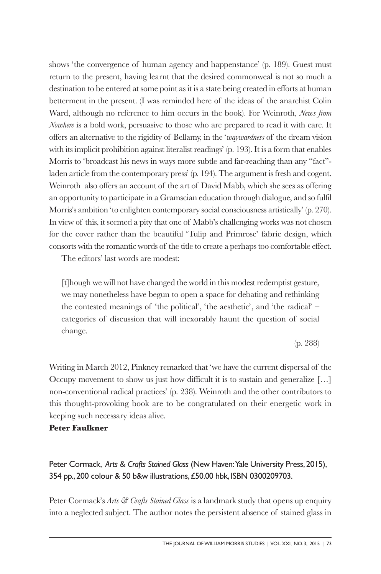shows 'the convergence of human agency and happenstance' (p. 189). Guest must return to the present, having learnt that the desired commonweal is not so much a destination to be entered at some point as it is a state being created in efforts at human betterment in the present. (I was reminded here of the ideas of the anarchist Colin Ward, although no reference to him occurs in the book). For Weinroth, *News from Nowhere* is a bold work, persuasive to those who are prepared to read it with care. It offers an alternative to the rigidity of Bellamy, in the '*waywardness* of the dream vision with its implicit prohibition against literalist readings' (p. 193). It is a form that enables Morris to 'broadcast his news in ways more subtle and far-reaching than any "fact" laden article from the contemporary press' (p. 194). The argument is fresh and cogent. Weinroth also offers an account of the art of David Mabb, which she sees as offering an opportunity to participate in a Gramscian education through dialogue, and so fulfil Morris's ambition 'to enlighten contemporary social consciousness artistically' (p. 270). In view of this, it seemed a pity that one of Mabb's challenging works was not chosen for the cover rather than the beautiful 'Tulip and Primrose' fabric design, which consorts with the romantic words of the title to create a perhaps too comfortable effect.

The editors' last words are modest:

[t]hough we will not have changed the world in this modest redemptist gesture, we may nonetheless have begun to open a space for debating and rethinking the contested meanings of 'the political', 'the aesthetic', and 'the radical' – categories of discussion that will inexorably haunt the question of social change.

(p. 288)

Writing in March 2012, Pinkney remarked that 'we have the current dispersal of the Occupy movement to show us just how difficult it is to sustain and generalize […] non-conventional radical practices' (p. 238). Weinroth and the other contributors to this thought-provoking book are to be congratulated on their energetic work in keeping such necessary ideas alive.

# **Peter Faulkner**

Peter Cormack, Arts & Crafts Stained Glass (New Haven: Yale University Press, 2015), 354 pp., 200 colour & 50 b&w illustrations, £50.00 hbk, ISBN 0300209703.

Peter Cormack's *Arts & Crafts Stained Glass* is a landmark study that opens up enquiry into a neglected subject. The author notes the persistent absence of stained glass in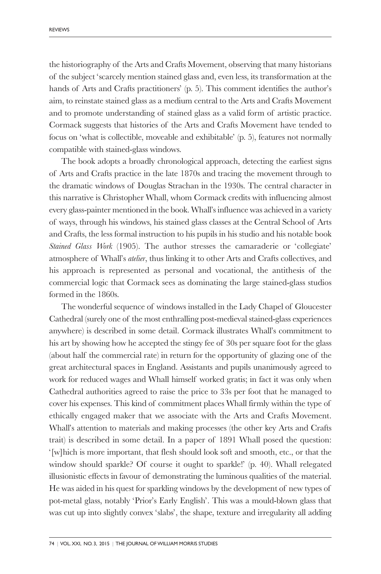the historiography of the Arts and Crafts Movement, observing that many historians of the subject 'scarcely mention stained glass and, even less, its transformation at the hands of Arts and Crafts practitioners' (p. 5). This comment identifies the author's aim, to reinstate stained glass as a medium central to the Arts and Crafts Movement and to promote understanding of stained glass as a valid form of artistic practice. Cormack suggests that histories of the Arts and Crafts Movement have tended to focus on 'what is collectible, moveable and exhibitable' (p. 5), features not normally compatible with stained-glass windows.

The book adopts a broadly chronological approach, detecting the earliest signs of Arts and Crafts practice in the late 1870s and tracing the movement through to the dramatic windows of Douglas Strachan in the 1930s. The central character in this narrative is Christopher Whall, whom Cormack credits with influencing almost every glass-painter mentioned in the book. Whall's influence was achieved in a variety of ways, through his windows, his stained glass classes at the Central School of Arts and Crafts, the less formal instruction to his pupils in his studio and his notable book *Stained Glass Work* (1905). The author stresses the camaraderie or 'collegiate' atmosphere of Whall's *atelier*, thus linking it to other Arts and Crafts collectives, and his approach is represented as personal and vocational, the antithesis of the commercial logic that Cormack sees as dominating the large stained-glass studios formed in the 1860s.

The wonderful sequence of windows installed in the Lady Chapel of Gloucester Cathedral (surely one of the most enthralling post-medieval stained-glass experiences anywhere) is described in some detail. Cormack illustrates Whall's commitment to his art by showing how he accepted the stingy fee of 30s per square foot for the glass (about half the commercial rate) in return for the opportunity of glazing one of the great architectural spaces in England. Assistants and pupils unanimously agreed to work for reduced wages and Whall himself worked gratis; in fact it was only when Cathedral authorities agreed to raise the price to 33s per foot that he managed to cover his expenses. This kind of commitment places Whall firmly within the type of ethically engaged maker that we associate with the Arts and Crafts Movement. Whall's attention to materials and making processes (the other key Arts and Crafts trait) is described in some detail. In a paper of 1891 Whall posed the question: '[w]hich is more important, that flesh should look soft and smooth, etc., or that the window should sparkle? Of course it ought to sparkle!' (p. 40). Whall relegated illusionistic effects in favour of demonstrating the luminous qualities of the material. He was aided in his quest for sparkling windows by the development of new types of pot-metal glass, notably 'Prior's Early English'. This was a mould-blown glass that was cut up into slightly convex 'slabs', the shape, texture and irregularity all adding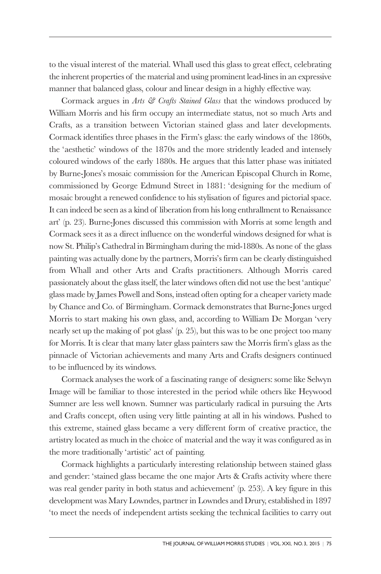to the visual interest of the material. Whall used this glass to great effect, celebrating the inherent properties of the material and using prominent lead-lines in an expressive manner that balanced glass, colour and linear design in a highly effective way.

Cormack argues in *Arts & Crafts Stained Glass* that the windows produced by William Morris and his firm occupy an intermediate status, not so much Arts and Crafts, as a transition between Victorian stained glass and later developments. Cormack identifies three phases in the Firm's glass: the early windows of the 1860s, the 'aesthetic' windows of the 1870s and the more stridently leaded and intensely coloured windows of the early 1880s. He argues that this latter phase was initiated by Burne-Jones's mosaic commission for the American Episcopal Church in Rome, commissioned by George Edmund Street in 1881: 'designing for the medium of mosaic brought a renewed confidence to his stylisation of figures and pictorial space. It can indeed be seen as a kind of liberation from his long enthrallment to Renaissance art' (p. 23). Burne-Jones discussed this commission with Morris at some length and Cormack sees it as a direct influence on the wonderful windows designed for what is now St. Philip's Cathedral in Birmingham during the mid-1880s. As none of the glass painting was actually done by the partners, Morris's firm can be clearly distinguished from Whall and other Arts and Crafts practitioners. Although Morris cared passionately about the glass itself, the later windows often did not use the best 'antique' glass made by James Powell and Sons, instead often opting for a cheaper variety made by Chance and Co. of Birmingham. Cormack demonstrates that Burne-Jones urged Morris to start making his own glass, and, according to William De Morgan 'very nearly set up the making of pot glass' (p. 25), but this was to be one project too many for Morris. It is clear that many later glass painters saw the Morris firm's glass as the pinnacle of Victorian achievements and many Arts and Crafts designers continued to be influenced by its windows.

Cormack analyses the work of a fascinating range of designers: some like Selwyn Image will be familiar to those interested in the period while others like Heywood Sumner are less well known. Sumner was particularly radical in pursuing the Arts and Crafts concept, often using very little painting at all in his windows. Pushed to this extreme, stained glass became a very different form of creative practice, the artistry located as much in the choice of material and the way it was configured as in the more traditionally 'artistic' act of painting.

Cormack highlights a particularly interesting relationship between stained glass and gender: 'stained glass became the one major Arts & Crafts activity where there was real gender parity in both status and achievement' (p. 253). A key figure in this development was Mary Lowndes, partner in Lowndes and Drury, established in 1897 'to meet the needs of independent artists seeking the technical facilities to carry out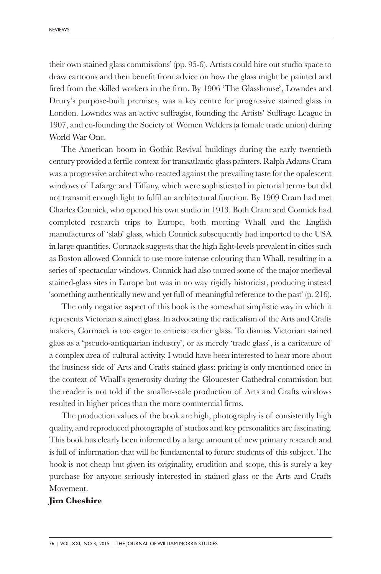their own stained glass commissions' (pp. 95-6). Artists could hire out studio space to draw cartoons and then benefit from advice on how the glass might be painted and fired from the skilled workers in the firm. By 1906 'The Glasshouse', Lowndes and Drury's purpose-built premises, was a key centre for progressive stained glass in London. Lowndes was an active suffragist, founding the Artists' Suffrage League in 1907, and co-founding the Society of Women Welders (a female trade union) during World War One.

The American boom in Gothic Revival buildings during the early twentieth century provided a fertile context for transatlantic glass painters. Ralph Adams Cram was a progressive architect who reacted against the prevailing taste for the opalescent windows of Lafarge and Tiffany, which were sophisticated in pictorial terms but did not transmit enough light to fulfil an architectural function. By 1909 Cram had met Charles Connick, who opened his own studio in 1913. Both Cram and Connick had completed research trips to Europe, both meeting Whall and the English manufactures of 'slab' glass, which Connick subsequently had imported to the USA in large quantities. Cormack suggests that the high light-levels prevalent in cities such as Boston allowed Connick to use more intense colouring than Whall, resulting in a series of spectacular windows. Connick had also toured some of the major medieval stained-glass sites in Europe but was in no way rigidly historicist, producing instead 'something authentically new and yet full of meaningful reference to the past' (p. 216).

The only negative aspect of this book is the somewhat simplistic way in which it represents Victorian stained glass. In advocating the radicalism of the Arts and Crafts makers, Cormack is too eager to criticise earlier glass. To dismiss Victorian stained glass as a 'pseudo-antiquarian industry', or as merely 'trade glass', is a caricature of a complex area of cultural activity. I would have been interested to hear more about the business side of Arts and Crafts stained glass: pricing is only mentioned once in the context of Whall's generosity during the Gloucester Cathedral commission but the reader is not told if the smaller-scale production of Arts and Crafts windows resulted in higher prices than the more commercial firms.

The production values of the book are high, photography is of consistently high quality, and reproduced photographs of studios and key personalities are fascinating. This book has clearly been informed by a large amount of new primary research and is full of information that will be fundamental to future students of this subject. The book is not cheap but given its originality, erudition and scope, this is surely a key purchase for anyone seriously interested in stained glass or the Arts and Crafts Movement.

#### **Jim Cheshire**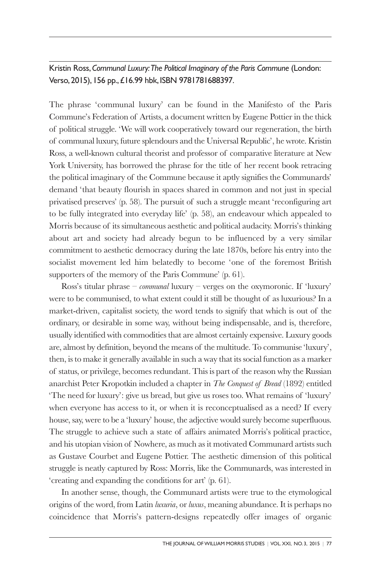Kristin Ross, *Communal Luxury:The Political Imaginary of the Paris Commune* (London: Verso, 2015), 156 pp., £16.99 hbk, ISBN 9781781688397.

The phrase 'communal luxury' can be found in the Manifesto of the Paris Commune's Federation of Artists, a document written by Eugene Pottier in the thick of political struggle. 'We will work cooperatively toward our regeneration, the birth of communal luxury, future splendours and the Universal Republic', he wrote. Kristin Ross, a well-known cultural theorist and professor of comparative literature at New York University, has borrowed the phrase for the title of her recent book retracing the political imaginary of the Commune because it aptly signifies the Communards' demand 'that beauty flourish in spaces shared in common and not just in special privatised preserves' (p. 58). The pursuit of such a struggle meant 'reconfiguring art to be fully integrated into everyday life' (p. 58), an endeavour which appealed to Morris because of its simultaneous aesthetic and political audacity. Morris's thinking about art and society had already begun to be influenced by a very similar commitment to aesthetic democracy during the late 1870s, before his entry into the socialist movement led him belatedly to become 'one of the foremost British supporters of the memory of the Paris Commune' (p. 61).

Ross's titular phrase – *communal* luxury – verges on the oxymoronic. If 'luxury' were to be communised, to what extent could it still be thought of as luxurious? In a market-driven, capitalist society, the word tends to signify that which is out of the ordinary, or desirable in some way, without being indispensable, and is, therefore, usually identified with commodities that are almost certainly expensive. Luxury goods are, almost by definition, beyond the means of the multitude. To communise 'luxury', then, is to make it generally available in such a way that its social function as a marker of status, or privilege, becomes redundant. This is part of the reason why the Russian anarchist Peter Kropotkin included a chapter in *The Conquest of Bread* (1892) entitled 'The need for luxury': give us bread, but give us roses too. What remains of 'luxury' when everyone has access to it, or when it is reconceptualised as a need? If every house, say, were to be a 'luxury' house, the adjective would surely become superfluous. The struggle to achieve such a state of affairs animated Morris's political practice, and his utopian vision of Nowhere, as much as it motivated Communard artists such as Gustave Courbet and Eugene Pottier. The aesthetic dimension of this political struggle is neatly captured by Ross: Morris, like the Communards, was interested in 'creating and expanding the conditions for art' (p. 61).

In another sense, though, the Communard artists were true to the etymological origins of the word, from Latin *luxuria*, or *luxus*, meaning abundance. It is perhaps no coincidence that Morris's pattern-designs repeatedly offer images of organic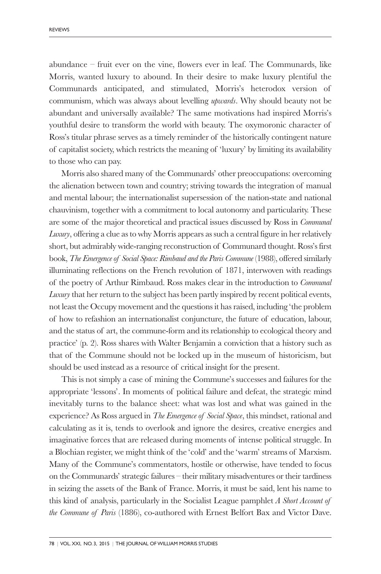abundance – fruit ever on the vine, flowers ever in leaf. The Communards, like Morris, wanted luxury to abound. In their desire to make luxury plentiful the Communards anticipated, and stimulated, Morris's heterodox version of communism, which was always about levelling *upwards*. Why should beauty not be abundant and universally available? The same motivations had inspired Morris's youthful desire to transform the world with beauty. The oxymoronic character of Ross's titular phrase serves as a timely reminder of the historically contingent nature of capitalist society, which restricts the meaning of 'luxury' by limiting its availability to those who can pay.

Morris also shared many of the Communards' other preoccupations: overcoming the alienation between town and country; striving towards the integration of manual and mental labour; the internationalist supersession of the nation-state and national chauvinism, together with a commitment to local autonomy and particularity. These are some of the major theoretical and practical issues discussed by Ross in *Communal Luxury*, offering a clue as to why Morris appears as such a central figure in her relatively short, but admirably wide-ranging reconstruction of Communard thought. Ross's first book, *The Emergence of Social Space: Rimbaud and the Paris Commune* (1988), offered similarly illuminating reflections on the French revolution of 1871, interwoven with readings of the poetry of Arthur Rimbaud. Ross makes clear in the introduction to *Communal Luxury* that her return to the subject has been partly inspired by recent political events, not least the Occupy movement and the questions it has raised, including 'the problem of how to refashion an internationalist conjuncture, the future of education, labour, and the status of art, the commune-form and its relationship to ecological theory and practice' (p. 2). Ross shares with Walter Benjamin a conviction that a history such as that of the Commune should not be locked up in the museum of historicism, but should be used instead as a resource of critical insight for the present.

This is not simply a case of mining the Commune's successes and failures for the appropriate 'lessons'. In moments of political failure and defeat, the strategic mind inevitably turns to the balance sheet: what was lost and what was gained in the experience? As Ross argued in *The Emergence of Social Space*, this mindset, rational and calculating as it is, tends to overlook and ignore the desires, creative energies and imaginative forces that are released during moments of intense political struggle. In a Blochian register, we might think of the 'cold' and the 'warm' streams of Marxism. Many of the Commune's commentators, hostile or otherwise, have tended to focus on the Communards' strategic failures – their military misadventures or their tardiness in seizing the assets of the Bank of France. Morris, it must be said, lent his name to this kind of analysis, particularly in the Socialist League pamphlet *A Short Account of the Commune of Paris* (1886), co-authored with Ernest Belfort Bax and Victor Dave.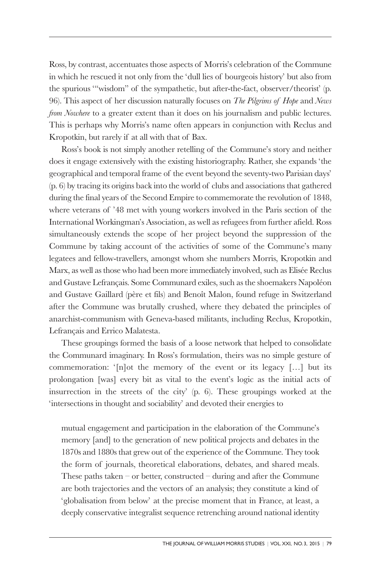Ross, by contrast, accentuates those aspects of Morris's celebration of the Commune in which he rescued it not only from the 'dull lies of bourgeois history' but also from the spurious '"wisdom" of the sympathetic, but after-the-fact, observer/theorist' (p. 96). This aspect of her discussion naturally focuses on *The Pilgrims of Hope* and *News from Nowhere* to a greater extent than it does on his journalism and public lectures. This is perhaps why Morris's name often appears in conjunction with Reclus and Kropotkin, but rarely if at all with that of Bax.

Ross's book is not simply another retelling of the Commune's story and neither does it engage extensively with the existing historiography. Rather, she expands 'the geographical and temporal frame of the event beyond the seventy-two Parisian days' (p. 6) by tracing its origins back into the world of clubs and associations that gathered during the final years of the Second Empire to commemorate the revolution of 1848, where veterans of '48 met with young workers involved in the Paris section of the International Workingman's Association, as well as refugees from further afield. Ross simultaneously extends the scope of her project beyond the suppression of the Commune by taking account of the activities of some of the Commune's many legatees and fellow-travellers, amongst whom she numbers Morris, Kropotkin and Marx, as well as those who had been more immediately involved, such as Elisée Reclus and Gustave Lefrançais. Some Communard exiles, such as the shoemakers Napoléon and Gustave Gaillard (père et fils) and Benoît Malon, found refuge in Switzerland after the Commune was brutally crushed, where they debated the principles of anarchist-communism with Geneva-based militants, including Reclus, Kropotkin, Lefrançais and Errico Malatesta.

These groupings formed the basis of a loose network that helped to consolidate the Communard imaginary. In Ross's formulation, theirs was no simple gesture of commemoration: '[n]ot the memory of the event or its legacy […] but its prolongation [was] every bit as vital to the event's logic as the initial acts of insurrection in the streets of the city' (p. 6). These groupings worked at the 'intersections in thought and sociability' and devoted their energies to

mutual engagement and participation in the elaboration of the Commune's memory [and] to the generation of new political projects and debates in the 1870s and 1880s that grew out of the experience of the Commune. They took the form of journals, theoretical elaborations, debates, and shared meals. These paths taken – or better, constructed – during and after the Commune are both trajectories and the vectors of an analysis; they constitute a kind of 'globalisation from below' at the precise moment that in France, at least, a deeply conservative integralist sequence retrenching around national identity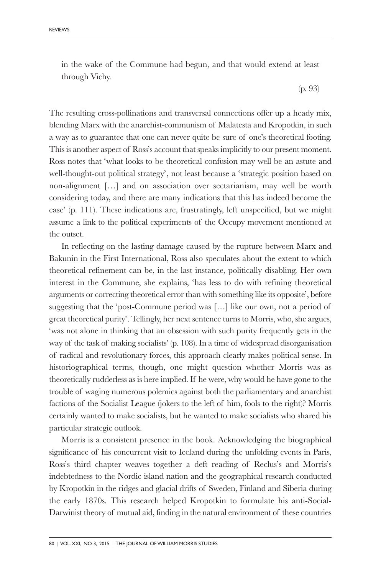in the wake of the Commune had begun, and that would extend at least through Vichy.

(p. 93)

The resulting cross-pollinations and transversal connections offer up a heady mix, blending Marx with the anarchist-communism of Malatesta and Kropotkin, in such a way as to guarantee that one can never quite be sure of one's theoretical footing. This is another aspect of Ross's account that speaks implicitly to our present moment. Ross notes that 'what looks to be theoretical confusion may well be an astute and well-thought-out political strategy', not least because a 'strategic position based on non-alignment […] and on association over sectarianism, may well be worth considering today, and there are many indications that this has indeed become the case' (p. 111). These indications are, frustratingly, left unspecified, but we might assume a link to the political experiments of the Occupy movement mentioned at the outset.

In reflecting on the lasting damage caused by the rupture between Marx and Bakunin in the First International, Ross also speculates about the extent to which theoretical refinement can be, in the last instance, politically disabling. Her own interest in the Commune, she explains, 'has less to do with refining theoretical arguments or correcting theoretical error than with something like its opposite', before suggesting that the 'post-Commune period was […] like our own, not a period of great theoretical purity'. Tellingly, her next sentence turns to Morris, who, she argues, 'was not alone in thinking that an obsession with such purity frequently gets in the way of the task of making socialists' (p. 108). In a time of widespread disorganisation of radical and revolutionary forces, this approach clearly makes political sense. In historiographical terms, though, one might question whether Morris was as theoretically rudderless as is here implied. If he were, why would he have gone to the trouble of waging numerous polemics against both the parliamentary and anarchist factions of the Socialist League (jokers to the left of him, fools to the right)? Morris certainly wanted to make socialists, but he wanted to make socialists who shared his particular strategic outlook.

Morris is a consistent presence in the book. Acknowledging the biographical significance of his concurrent visit to Iceland during the unfolding events in Paris, Ross's third chapter weaves together a deft reading of Reclus's and Morris's indebtedness to the Nordic island nation and the geographical research conducted by Kropotkin in the ridges and glacial drifts of Sweden, Finland and Siberia during the early 1870s. This research helped Kropotkin to formulate his anti-Social-Darwinist theory of mutual aid, finding in the natural environment of these countries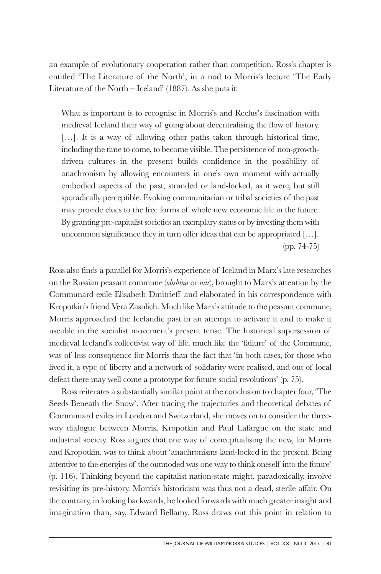an example of evolutionary cooperation rather than competition. Ross's chapter is entitled 'The Literature of the North', in a nod to Morris's lecture 'The Early Literature of the North – Iceland' (1887). As she puts it:

What is important is to recognise in Morris's and Reclus's fascination with medieval Iceland their way of going about decentralising the flow of history. [...]. It is a way of allowing other paths taken through historical time, including the time to come, to become visible. The persistence of non-growthdriven cultures in the present builds confidence in the possibility of anachronism by allowing encounters in one's own moment with actually embodied aspects of the past, stranded or land-locked, as it were, but still sporadically perceptible. Evoking communitarian or tribal societies of the past may provide clues to the free forms of whole new economic life in the future. By granting pre-capitalist societies an exemplary status or by investing them with uncommon significance they in turn offer ideas that can be appropriated […]. (pp. 74-75)

Ross also finds a parallel for Morris's experience of Iceland in Marx's late researches on the Russian peasant commune (*obshina* or *mir*), brought to Marx's attention by the Communard exile Elisabeth Dmitrieff and elaborated in his correspondence with Kropotkin's friend Vera Zasulich. Much like Marx's attitude to the peasant commune, Morris approached the Icelandic past in an attempt to activate it and to make it useable in the socialist movement's present tense. The historical supersession of medieval Iceland's collectivist way of life, much like the 'failure' of the Commune, was of less consequence for Morris than the fact that 'in both cases, for those who lived it, a type of liberty and a network of solidarity were realised, and out of local defeat there may well come a prototype for future social revolutions' (p. 75).

Ross reiterates a substantially similar point at the conclusion to chapter four, 'The Seeds Beneath the Snow'. After tracing the trajectories and theoretical debates of Communard exiles in London and Switzerland, she moves on to consider the threeway dialogue between Morris, Kropotkin and Paul Lafargue on the state and industrial society. Ross argues that one way of conceptualising the new, for Morris and Kropotkin, was to think about 'anachronisms land-locked in the present. Being attentive to the energies of the outmoded was one way to think oneself into the future' (p. 116). Thinking beyond the capitalist nation-state might, paradoxically, involve revisiting its pre-history. Morris's historicism was thus not a dead, sterile affair. On the contrary, in looking backwards, he looked forwards with much greater insight and imagination than, say, Edward Bellamy. Ross draws out this point in relation to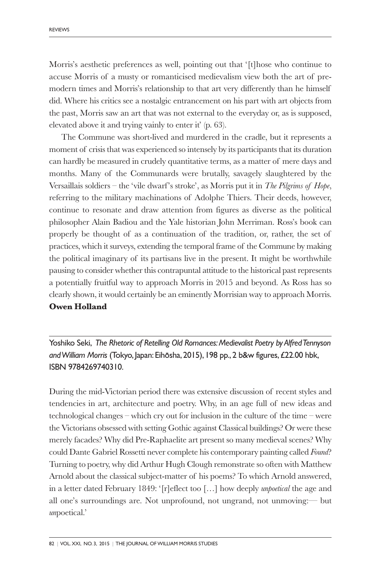Morris's aesthetic preferences as well, pointing out that '[t]hose who continue to accuse Morris of a musty or romanticised medievalism view both the art of premodern times and Morris's relationship to that art very differently than he himself did. Where his critics see a nostalgic entrancement on his part with art objects from the past, Morris saw an art that was not external to the everyday or, as is supposed, elevated above it and trying vainly to enter it' (p. 63).

The Commune was short-lived and murdered in the cradle, but it represents a moment of crisis that was experienced so intensely by its participants that its duration can hardly be measured in crudely quantitative terms, as a matter of mere days and months. Many of the Communards were brutally, savagely slaughtered by the Versaillais soldiers – the 'vile dwarf 's stroke', as Morris put it in *The Pilgrims of Hope*, referring to the military machinations of Adolphe Thiers. Their deeds, however, continue to resonate and draw attention from figures as diverse as the political philosopher Alain Badiou and the Yale historian John Merriman. Ross's book can properly be thought of as a continuation of the tradition, or, rather, the set of practices, which it surveys, extending the temporal frame of the Commune by making the political imaginary of its partisans live in the present. It might be worthwhile pausing to consider whether this contrapuntal attitude to the historical past represents a potentially fruitful way to approach Morris in 2015 and beyond. As Ross has so clearly shown, it would certainly be an eminently Morrisian way to approach Morris.

# **Owen Holland**

Yoshiko Seki, *The Rhetoric of Retelling Old Romances: Medievalist Poetry by Alfred Tennyson and William Morris* (Tokyo, Japan: Eihosha, 2015), 198 pp., 2 b&w figures, £22.00 hbk, ISBN 9784269740310.

During the mid-Victorian period there was extensive discussion of recent styles and tendencies in art, architecture and poetry. Why, in an age full of new ideas and technological changes – which cry out for inclusion in the culture of the time – were the Victorians obsessed with setting Gothic against Classical buildings? Or were these merely facades? Why did Pre-Raphaelite art present so many medieval scenes? Why could Dante Gabriel Rossetti never complete his contemporary painting called *Found*? Turning to poetry, why did Arthur Hugh Clough remonstrate so often with Matthew Arnold about the classical subject-matter of his poems? To which Arnold answered, in a letter dated February 1849: '[r]eflect too […] how deeply *unpoetical* the age and all one's surroundings are. Not unprofound, not ungrand, not unmoving:–– but *un*poetical.'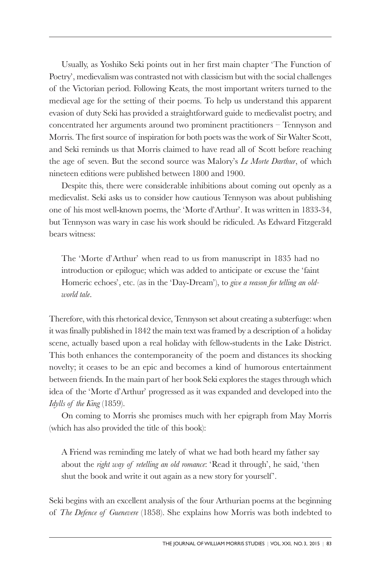Usually, as Yoshiko Seki points out in her first main chapter 'The Function of Poetry', medievalism was contrasted not with classicism but with the social challenges of the Victorian period. Following Keats, the most important writers turned to the medieval age for the setting of their poems. To help us understand this apparent evasion of duty Seki has provided a straightforward guide to medievalist poetry, and concentrated her arguments around two prominent practitioners – Tennyson and Morris. The first source of inspiration for both poets was the work of Sir Walter Scott, and Seki reminds us that Morris claimed to have read all of Scott before reaching the age of seven. But the second source was Malory's *Le Morte Darthur*, of which nineteen editions were published between 1800 and 1900.

Despite this, there were considerable inhibitions about coming out openly as a medievalist. Seki asks us to consider how cautious Tennyson was about publishing one of his most well-known poems, the 'Morte d'Arthur'. It was written in 1833-34, but Tennyson was wary in case his work should be ridiculed. As Edward Fitzgerald bears witness:

The 'Morte d'Arthur' when read to us from manuscript in 1835 had no introduction or epilogue; which was added to anticipate or excuse the 'faint Homeric echoes', etc. (as in the 'Day-Dream'), to *give a reason for telling an oldworld tale*.

Therefore, with this rhetorical device, Tennyson set about creating a subterfuge: when it was finally published in 1842 the main text was framed by a description of a holiday scene, actually based upon a real holiday with fellow-students in the Lake District. This both enhances the contemporaneity of the poem and distances its shocking novelty; it ceases to be an epic and becomes a kind of humorous entertainment between friends. In the main part of her book Seki explores the stages through which idea of the 'Morte d'Arthur' progressed as it was expanded and developed into the *Idylls of the King* (1859).

On coming to Morris she promises much with her epigraph from May Morris (which has also provided the title of this book):

A Friend was reminding me lately of what we had both heard my father say about the *right way of retelling an old romance*: 'Read it through', he said, 'then shut the book and write it out again as a new story for yourself '.

Seki begins with an excellent analysis of the four Arthurian poems at the beginning of *The Defence of Guenevere* (1858). She explains how Morris was both indebted to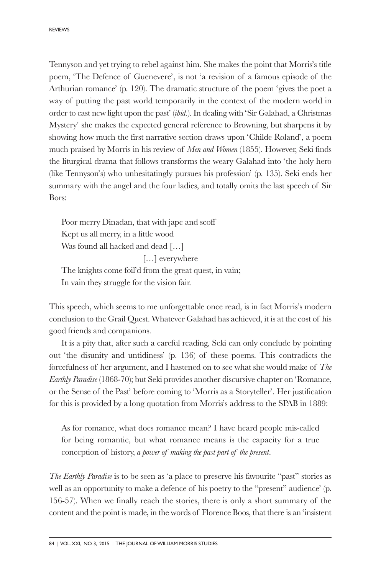Tennyson and yet trying to rebel against him. She makes the point that Morris's title poem, 'The Defence of Guenevere', is not 'a revision of a famous episode of the Arthurian romance' (p. 120). The dramatic structure of the poem 'gives the poet a way of putting the past world temporarily in the context of the modern world in order to cast new light upon the past' (*ibid.*). In dealing with 'Sir Galahad, a Christmas Mystery' she makes the expected general reference to Browning, but sharpens it by showing how much the first narrative section draws upon 'Childe Roland', a poem much praised by Morris in his review of *Men and Women* (1855). However, Seki finds the liturgical drama that follows transforms the weary Galahad into 'the holy hero (like Tennyson's) who unhesitatingly pursues his profession' (p. 135). Seki ends her summary with the angel and the four ladies, and totally omits the last speech of Sir Bors:

Poor merry Dinadan, that with jape and scoff Kept us all merry, in a little wood Was found all hacked and dead […] [...] everywhere

The knights come foil'd from the great quest, in vain; In vain they struggle for the vision fair.

This speech, which seems to me unforgettable once read, is in fact Morris's modern conclusion to the Grail Quest. Whatever Galahad has achieved, it is at the cost of his good friends and companions.

It is a pity that, after such a careful reading, Seki can only conclude by pointing out 'the disunity and untidiness' (p. 136) of these poems. This contradicts the forcefulness of her argument, and I hastened on to see what she would make of *The Earthly Paradise* (1868-70); but Seki provides another discursive chapter on 'Romance, or the Sense of the Past' before coming to 'Morris as a Storyteller'. Her justification for this is provided by a long quotation from Morris's address to the SPAB in 1889:

As for romance, what does romance mean? I have heard people mis-called for being romantic, but what romance means is the capacity for a true conception of history, *a power of making the past part of the present*.

*The Earthly Paradise* is to be seen as 'a place to preserve his favourite "past" stories as well as an opportunity to make a defence of his poetry to the "present" audience' (p. 156-57). When we finally reach the stories, there is only a short summary of the content and the point is made, in the words of Florence Boos, that there is an 'insistent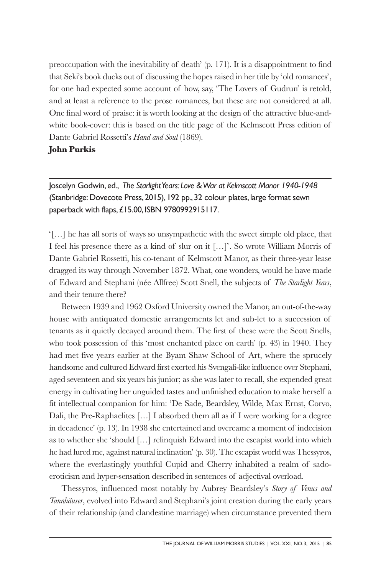preoccupation with the inevitability of death' (p. 171). It is a disappointment to find that Seki's book ducks out of discussing the hopes raised in her title by 'old romances', for one had expected some account of how, say, 'The Lovers of Gudrun' is retold, and at least a reference to the prose romances, but these are not considered at all. One final word of praise: it is worth looking at the design of the attractive blue-andwhite book-cover: this is based on the title page of the Kelmscott Press edition of Dante Gabriel Rossetti's *Hand and Soul* (1869).

## **John Purkis**

Joscelyn Godwin, ed., *The Starlight Years: Love & War at Kelmscott Manor 1940-1948* (Stanbridge: Dovecote Press, 2015), 192 pp., 32 colour plates, large format sewn paperback with flaps, £15.00, ISBN 9780992915117.

'[…] he has all sorts of ways so unsympathetic with the sweet simple old place, that I feel his presence there as a kind of slur on it […]'. So wrote William Morris of Dante Gabriel Rossetti, his co-tenant of Kelmscott Manor, as their three-year lease dragged its way through November 1872. What, one wonders, would he have made of Edward and Stephani (née Allfree) Scott Snell, the subjects of *The Starlight Years*, and their tenure there?

Between 1939 and 1962 Oxford University owned the Manor, an out-of-the-way house with antiquated domestic arrangements let and sub-let to a succession of tenants as it quietly decayed around them. The first of these were the Scott Snells, who took possession of this 'most enchanted place on earth' (p. 43) in 1940. They had met five years earlier at the Byam Shaw School of Art, where the sprucely handsome and cultured Edward first exerted his Svengali-like influence over Stephani, aged seventeen and six years his junior; as she was later to recall, she expended great energy in cultivating her unguided tastes and unfinished education to make herself a fit intellectual companion for him: 'De Sade, Beardsley, Wilde, Max Ernst, Corvo, Dali, the Pre-Raphaelites […] I absorbed them all as if I were working for a degree in decadence' (p. 13). In 1938 she entertained and overcame a moment of indecision as to whether she 'should […] relinquish Edward into the escapist world into which he had lured me, against natural inclination' (p. 30). The escapist world was Thessyros, where the everlastingly youthful Cupid and Cherry inhabited a realm of sadoeroticism and hyper-sensation described in sentences of adjectival overload.

Thessyros, influenced most notably by Aubrey Beardsley's *Story of Venus and Tannhäuser*, evolved into Edward and Stephani's joint creation during the early years of their relationship (and clandestine marriage) when circumstance prevented them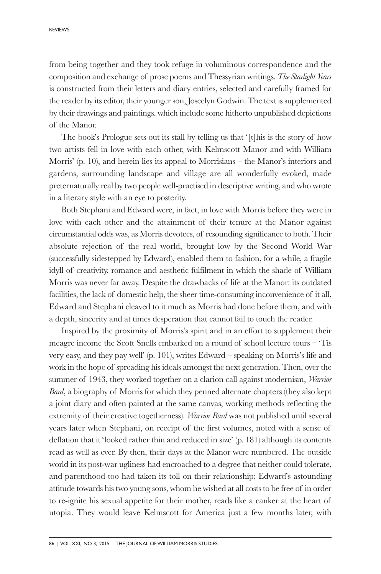from being together and they took refuge in voluminous correspondence and the composition and exchange of prose poems and Thessyrian writings. *The Starlight Years* is constructed from their letters and diary entries, selected and carefully framed for the reader by its editor, their younger son, Joscelyn Godwin. The text is supplemented by their drawings and paintings, which include some hitherto unpublished depictions of the Manor.

The book's Prologue sets out its stall by telling us that '[t]his is the story of how two artists fell in love with each other, with Kelmscott Manor and with William Morris' (p. 10), and herein lies its appeal to Morrisians – the Manor's interiors and gardens, surrounding landscape and village are all wonderfully evoked, made preternaturally real by two people well-practised in descriptive writing, and who wrote in a literary style with an eye to posterity.

Both Stephani and Edward were, in fact, in love with Morris before they were in love with each other and the attainment of their tenure at the Manor against circumstantial odds was, as Morris devotees, of resounding significance to both. Their absolute rejection of the real world, brought low by the Second World War (successfully sidestepped by Edward), enabled them to fashion, for a while, a fragile idyll of creativity, romance and aesthetic fulfilment in which the shade of William Morris was never far away. Despite the drawbacks of life at the Manor: its outdated facilities, the lack of domestic help, the sheer time-consuming inconvenience of it all, Edward and Stephani cleaved to it much as Morris had done before them, and with a depth, sincerity and at times desperation that cannot fail to touch the reader.

Inspired by the proximity of Morris's spirit and in an effort to supplement their meagre income the Scott Snells embarked on a round of school lecture tours – 'Tis very easy, and they pay well' (p. 101), writes Edward – speaking on Morris's life and work in the hope of spreading his ideals amongst the next generation. Then, over the summer of 1943, they worked together on a clarion call against modernism, *Warrior Bard*, a biography of Morris for which they penned alternate chapters (they also kept a joint diary and often painted at the same canvas, working methods reflecting the extremity of their creative togetherness). *Warrior Bard* was not published until several years later when Stephani, on receipt of the first volumes, noted with a sense of deflation that it 'looked rather thin and reduced in size' (p. 181) although its contents read as well as ever. By then, their days at the Manor were numbered. The outside world in its post-war ugliness had encroached to a degree that neither could tolerate, and parenthood too had taken its toll on their relationship; Edward's astounding attitude towards his two young sons, whom he wished at all costs to be free of in order to re-ignite his sexual appetite for their mother, reads like a canker at the heart of utopia. They would leave Kelmscott for America just a few months later, with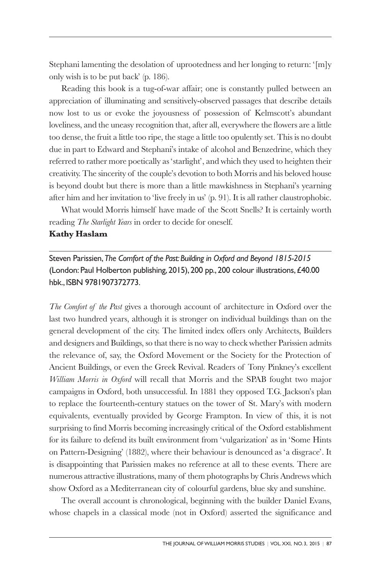Stephani lamenting the desolation of uprootedness and her longing to return: '[m]y only wish is to be put back' (p. 186).

Reading this book is a tug-of-war affair; one is constantly pulled between an appreciation of illuminating and sensitively-observed passages that describe details now lost to us or evoke the joyousness of possession of Kelmscott's abundant loveliness, and the uneasy recognition that, after all, everywhere the flowers are a little too dense, the fruit a little too ripe, the stage a little too opulently set. This is no doubt due in part to Edward and Stephani's intake of alcohol and Benzedrine, which they referred to rather more poetically as 'starlight', and which they used to heighten their creativity. The sincerity of the couple's devotion to both Morris and his beloved house is beyond doubt but there is more than a little mawkishness in Stephani's yearning after him and her invitation to 'live freely in us' (p. 91). It is all rather claustrophobic.

What would Morris himself have made of the Scott Snells? It is certainly worth reading *The Starlight Years* in order to decide for oneself.

## **Kathy Haslam**

Steven Parissien, *The Comfort of the Past: Building in Oxford and Beyond 1815-2015* (London: Paul Holberton publishing, 2015), 200 pp., 200 colour illustrations, £40.00 hbk., ISBN 9781907372773.

*The Comfort of the Past* gives a thorough account of architecture in Oxford over the last two hundred years, although it is stronger on individual buildings than on the general development of the city. The limited index offers only Architects, Builders and designers and Buildings, so that there is no way to check whether Parissien admits the relevance of, say, the Oxford Movement or the Society for the Protection of Ancient Buildings, or even the Greek Revival. Readers of Tony Pinkney's excellent *William Morris in Oxford* will recall that Morris and the SPAB fought two major campaigns in Oxford, both unsuccessful. In 1881 they opposed T.G. Jackson's plan to replace the fourteenth-century statues on the tower of St. Mary's with modern equivalents, eventually provided by George Frampton. In view of this, it is not surprising to find Morris becoming increasingly critical of the Oxford establishment for its failure to defend its built environment from 'vulgarization' as in 'Some Hints on Pattern-Designing' (1882), where their behaviour is denounced as 'a disgrace'. It is disappointing that Parissien makes no reference at all to these events. There are numerous attractive illustrations, many of them photographs by Chris Andrews which show Oxford as a Mediterranean city of colourful gardens, blue sky and sunshine.

The overall account is chronological, beginning with the builder Daniel Evans, whose chapels in a classical mode (not in Oxford) asserted the significance and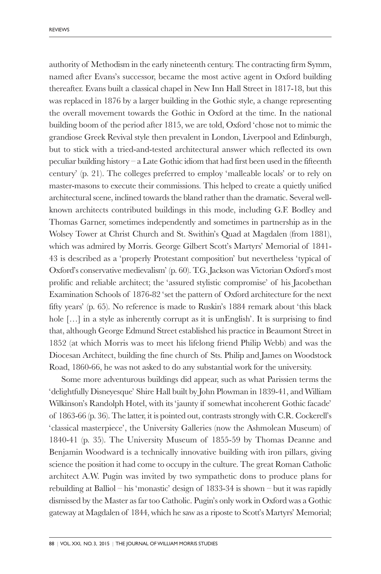authority of Methodism in the early nineteenth century. The contracting firm Symm, named after Evans's successor, became the most active agent in Oxford building thereafter. Evans built a classical chapel in New Inn Hall Street in 1817-18, but this was replaced in 1876 by a larger building in the Gothic style, a change representing the overall movement towards the Gothic in Oxford at the time. In the national building boom of the period after 1815, we are told, Oxford 'chose not to mimic the grandiose Greek Revival style then prevalent in London, Liverpool and Edinburgh, but to stick with a tried-and-tested architectural answer which reflected its own peculiar building history – a Late Gothic idiom that had first been used in the fifteenth century' (p. 21). The colleges preferred to employ 'malleable locals' or to rely on master-masons to execute their commissions. This helped to create a quietly unified architectural scene, inclined towards the bland rather than the dramatic. Several wellknown architects contributed buildings in this mode, including G.F. Bodley and Thomas Garner, sometimes independently and sometimes in partnership as in the Wolsey Tower at Christ Church and St. Swithin's Quad at Magdalen (from 1881), which was admired by Morris. George Gilbert Scott's Martyrs' Memorial of 1841- 43 is described as a 'properly Protestant composition' but nevertheless 'typical of Oxford's conservative medievalism' (p. 60). T.G. Jackson was Victorian Oxford's most prolific and reliable architect; the 'assured stylistic compromise' of his Jacobethan Examination Schools of 1876-82 'set the pattern of Oxford architecture for the next fifty years' (p. 65). No reference is made to Ruskin's 1884 remark about 'this black hole [...] in a style as inherently corrupt as it is unEnglish'. It is surprising to find that, although George Edmund Street established his practice in Beaumont Street in 1852 (at which Morris was to meet his lifelong friend Philip Webb) and was the Diocesan Architect, building the fine church of Sts. Philip and James on Woodstock Road, 1860-66, he was not asked to do any substantial work for the university.

Some more adventurous buildings did appear, such as what Parissien terms the 'delightfully Disneyesque' Shire Hall built by John Plowman in 1839-41, and William Wilkinson's Randolph Hotel, with its 'jaunty if somewhat incoherent Gothic facade' of 1863-66 (p. 36). The latter, it is pointed out, contrasts strongly with C.R. Cockerell's 'classical masterpiece', the University Galleries (now the Ashmolean Museum) of 1840-41 (p. 35). The University Museum of 1855-59 by Thomas Deanne and Benjamin Woodward is a technically innovative building with iron pillars, giving science the position it had come to occupy in the culture. The great Roman Catholic architect A.W. Pugin was invited by two sympathetic dons to produce plans for rebuilding at Balliol – his 'monastic' design of 1833-34 is shown – but it was rapidly dismissed by the Master as far too Catholic. Pugin's only work in Oxford was a Gothic gateway at Magdalen of 1844, which he saw as a riposte to Scott's Martyrs' Memorial;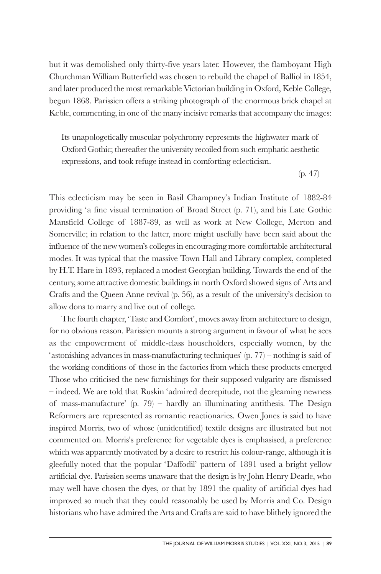but it was demolished only thirty-five years later. However, the flamboyant High Churchman William Butterfield was chosen to rebuild the chapel of Balliol in 1854, and later produced the most remarkable Victorian building in Oxford, Keble College, begun 1868. Parissien offers a striking photograph of the enormous brick chapel at Keble, commenting, in one of the many incisive remarks that accompany the images:

Its unapologetically muscular polychromy represents the highwater mark of Oxford Gothic; thereafter the university recoiled from such emphatic aesthetic expressions, and took refuge instead in comforting eclecticism.

(p. 47)

This eclecticism may be seen in Basil Champney's Indian Institute of 1882-84 providing 'a fine visual termination of Broad Street (p. 71), and his Late Gothic Mansfield College of 1887-89, as well as work at New College, Merton and Somerville; in relation to the latter, more might usefully have been said about the influence of the new women's colleges in encouraging more comfortable architectural modes. It was typical that the massive Town Hall and Library complex, completed by H.T. Hare in 1893, replaced a modest Georgian building. Towards the end of the century, some attractive domestic buildings in north Oxford showed signs of Arts and Crafts and the Queen Anne revival (p. 56), as a result of the university's decision to allow dons to marry and live out of college.

The fourth chapter, 'Taste and Comfort', moves away from architecture to design, for no obvious reason. Parissien mounts a strong argument in favour of what he sees as the empowerment of middle-class householders, especially women, by the 'astonishing advances in mass-manufacturing techniques' (p. 77) – nothing is said of the working conditions of those in the factories from which these products emerged Those who criticised the new furnishings for their supposed vulgarity are dismissed – indeed. We are told that Ruskin 'admired decrepitude, not the gleaming newness of mass-manufacture' (p. 79) – hardly an illuminating antithesis. The Design Reformers are represented as romantic reactionaries. Owen Jones is said to have inspired Morris, two of whose (unidentified) textile designs are illustrated but not commented on. Morris's preference for vegetable dyes is emphasised, a preference which was apparently motivated by a desire to restrict his colour-range, although it is gleefully noted that the popular 'Daffodil' pattern of 1891 used a bright yellow artificial dye. Parissien seems unaware that the design is by John Henry Dearle, who may well have chosen the dyes, or that by 1891 the quality of artificial dyes had improved so much that they could reasonably be used by Morris and Co. Design historians who have admired the Arts and Crafts are said to have blithely ignored the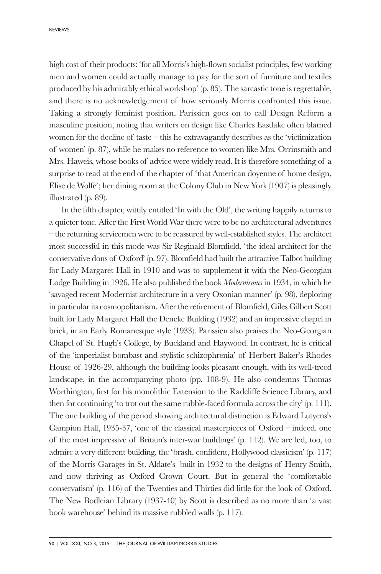high cost of their products: 'for all Morris's high-flown socialist principles, few working men and women could actually manage to pay for the sort of furniture and textiles produced by his admirably ethical workshop' (p. 85). The sarcastic tone is regrettable, and there is no acknowledgement of how seriously Morris confronted this issue. Taking a strongly feminist position, Parissien goes on to call Design Reform a masculine position, noting that writers on design like Charles Eastlake often blamed women for the decline of taste – this he extravagantly describes as the 'victimization of women' (p. 87), while he makes no reference to women like Mrs. Orrinsmith and Mrs. Haweis, whose books of advice were widely read. It is therefore something of a surprise to read at the end of the chapter of 'that American doyenne of home design, Elise de Wolfe'; her dining room at the Colony Club in New York (1907) is pleasingly illustrated (p. 89).

In the fifth chapter, wittily entitled 'In with the Old', the writing happily returns to a quieter tone. After the First World War there were to be no architectural adventures – the returning servicemen were to be reassured by well-established styles. The architect most successful in this mode was Sir Reginald Blomfield, 'the ideal architect for the conservative dons of Oxford' (p. 97). Blomfield had built the attractive Talbot building for Lady Margaret Hall in 1910 and was to supplement it with the Neo-Georgian Lodge Building in 1926. He also published the book *Modernismus* in 1934, in which he 'savaged recent Modernist architecture in a very Oxonian manner' (p. 98), deploring in particular its cosmopolitanism. After the retirement of Blomfield, Giles Gilbert Scott built for Lady Margaret Hall the Deneke Building (1932) and an impressive chapel in brick, in an Early Romanesque style (1933). Parissien also praises the Neo-Georgian Chapel of St. Hugh's College, by Buckland and Haywood. In contrast, he is critical of the 'imperialist bombast and stylistic schizophrenia' of Herbert Baker's Rhodes House of 1926-29, although the building looks pleasant enough, with its well-treed landscape, in the accompanying photo (pp. 108-9). He also condemns Thomas Worthington, first for his monolithic Extension to the Radcliffe Science Library, and then for continuing 'to trot out the same rubble-faced formula across the city' (p. 111). The one building of the period showing architectural distinction is Edward Lutyens's Campion Hall, 1935-37, 'one of the classical masterpieces of Oxford – indeed, one of the most impressive of Britain's inter-war buildings' (p. 112). We are led, too, to admire a very different building, the 'brash, confident, Hollywood classicism' (p. 117) of the Morris Garages in St. Aldate's built in 1932 to the designs of Henry Smith, and now thriving as Oxford Crown Court. But in general the 'comfortable conservatism' (p. 116) of the Twenties and Thirties did little for the look of Oxford. The New Bodleian Library (1937-40) by Scott is described as no more than 'a vast book warehouse' behind its massive rubbled walls (p. 117).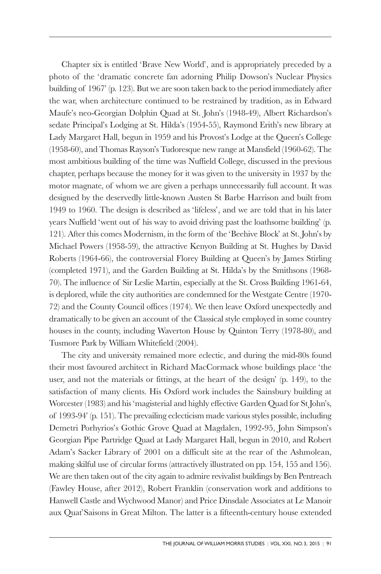Chapter six is entitled 'Brave New World', and is appropriately preceded by a photo of the 'dramatic concrete fan adorning Philip Dowson's Nuclear Physics building of 1967' (p. 123). But we are soon taken back to the period immediately after the war, when architecture continued to be restrained by tradition, as in Edward Maufe's neo-Georgian Dolphin Quad at St. John's (1948-49), Albert Richardson's sedate Principal's Lodging at St. Hilda's (1954-55), Raymond Erith's new library at Lady Margaret Hall, begun in 1959 and his Provost's Lodge at the Queen's College (1958-60), and Thomas Rayson's Tudoresque new range at Mansfield (1960-62). The most ambitious building of the time was Nuffield College, discussed in the previous chapter, perhaps because the money for it was given to the university in 1937 by the motor magnate, of whom we are given a perhaps unnecessarily full account. It was designed by the deservedly little-known Austen St Barbe Harrison and built from 1949 to 1960. The design is described as 'lifeless', and we are told that in his later years Nuffield 'went out of his way to avoid driving past the loathsome building' (p. 121). After this comes Modernism, in the form of the 'Beehive Block' at St. John's by Michael Powers (1958-59), the attractive Kenyon Building at St. Hughes by David Roberts (1964-66), the controversial Florey Building at Queen's by James Stirling (completed 1971), and the Garden Building at St. Hilda's by the Smithsons (1968- 70). The influence of Sir Leslie Martin, especially at the St. Cross Building 1961-64, is deplored, while the city authorities are condemned for the Westgate Centre (1970- 72) and the County Council offices (1974). We then leave Oxford unexpectedly and dramatically to be given an account of the Classical style employed in some country houses in the county, including Waverton House by Quinton Terry (1978-80), and Tusmore Park by William Whitefield (2004).

The city and university remained more eclectic, and during the mid-80s found their most favoured architect in Richard MacCormack whose buildings place 'the user, and not the materials or fittings, at the heart of the design' (p. 149), to the satisfaction of many clients. His Oxford work includes the Sainsbury building at Worcester (1983) and his 'magisterial and highly effective Garden Quad for St John's, of 1993-94' (p. 151). The prevailing eclecticism made various styles possible, including Demetri Porhyrios's Gothic Grove Quad at Magdalen, 1992-95, John Simpson's Georgian Pipe Partridge Quad at Lady Margaret Hall, begun in 2010, and Robert Adam's Sacker Library of 2001 on a difficult site at the rear of the Ashmolean, making skilful use of circular forms (attractively illustrated on pp. 154, 155 and 156). We are then taken out of the city again to admire revivalist buildings by Ben Pentreach (Fawley House, after 2012), Robert Franklin (conservation work and additions to Hanwell Castle and Wychwood Manor) and Price Dinsdale Associates at Le Manoir aux Quat'Saisons in Great Milton. The latter is a fifteenth-century house extended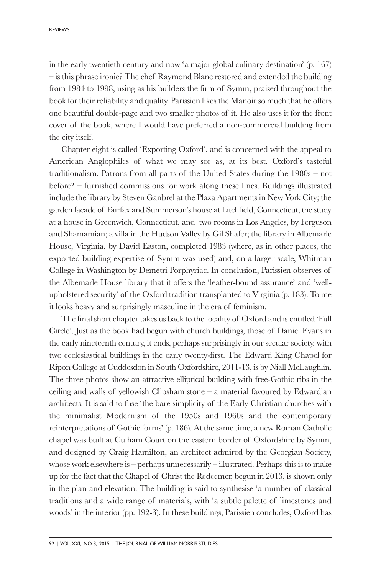in the early twentieth century and now 'a major global culinary destination' (p. 167) – is this phrase ironic? The chef Raymond Blanc restored and extended the building from 1984 to 1998, using as his builders the firm of Symm, praised throughout the book for their reliability and quality. Parissien likes the Manoir so much that he offers one beautiful double-page and two smaller photos of it. He also uses it for the front cover of the book, where I would have preferred a non-commercial building from the city itself.

Chapter eight is called 'Exporting Oxford', and is concerned with the appeal to American Anglophiles of what we may see as, at its best, Oxford's tasteful traditionalism. Patrons from all parts of the United States during the 1980s – not before? – furnished commissions for work along these lines. Buildings illustrated include the library by Steven Ganbrel at the Plaza Apartments in New York City; the garden facade of Fairfax and Summerson's house at Litchfield, Connecticut; the study at a house in Greenwich, Connecticut, and two rooms in Los Angeles, by Ferguson and Shamamian; a villa in the Hudson Valley by Gil Shafer; the library in Albemarle House, Virginia, by David Easton, completed 1983 (where, as in other places, the exported building expertise of Symm was used) and, on a larger scale, Whitman College in Washington by Demetri Porphyriac. In conclusion, Parissien observes of the Albemarle House library that it offers the 'leather-bound assurance' and 'wellupholstered security' of the Oxford tradition transplanted to Virginia (p. 183). To me it looks heavy and surprisingly masculine in the era of feminism.

The final short chapter takes us back to the locality of Oxford and is entitled 'Full Circle'. Just as the book had begun with church buildings, those of Daniel Evans in the early nineteenth century, it ends, perhaps surprisingly in our secular society, with two ecclesiastical buildings in the early twenty-first. The Edward King Chapel for Ripon College at Cuddesdon in South Oxfordshire, 2011-13, is by Niall McLaughlin. The three photos show an attractive elliptical building with free-Gothic ribs in the ceiling and walls of yellowish Clipsham stone  $-$  a material favoured by Edwardian architects. It is said to fuse 'the bare simplicity of the Early Christian churches with the minimalist Modernism of the 1950s and 1960s and the contemporary reinterpretations of Gothic forms' (p. 186). At the same time, a new Roman Catholic chapel was built at Culham Court on the eastern border of Oxfordshire by Symm, and designed by Craig Hamilton, an architect admired by the Georgian Society, whose work elsewhere is  $-$  perhaps unnecessarily  $-$  illustrated. Perhaps this is to make up for the fact that the Chapel of Christ the Redeemer, begun in 2013, is shown only in the plan and elevation. The building is said to synthesise 'a number of classical traditions and a wide range of materials, with 'a subtle palette of limestones and woods' in the interior (pp. 192-3). In these buildings, Parissien concludes, Oxford has